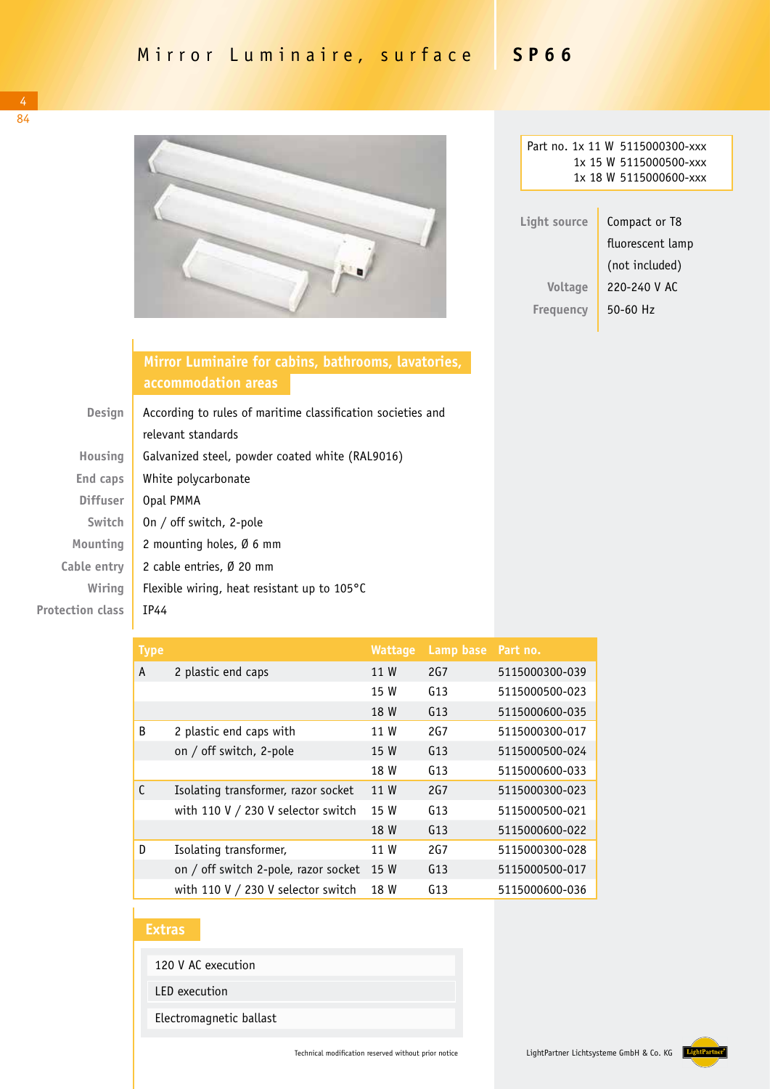

|              | Part no. 1x 11 W 5115000300-xxx |  |  |  |
|--------------|---------------------------------|--|--|--|
|              | 1x 15 W 5115000500-xxx          |  |  |  |
|              | 1x 18 W 5115000600-xxx          |  |  |  |
|              |                                 |  |  |  |
| Light source | Compact or T8                   |  |  |  |
|              | fluorescent lamp                |  |  |  |
|              | (not included)                  |  |  |  |
| Voltage      | 220-240 V AC                    |  |  |  |
| Freguency    | 50-60 Hz                        |  |  |  |

**Mirror Luminaire for cabins, bathrooms, lavatories, accommodation areas**

| <b>Design</b>           | According to rules of maritime classification societies and |  |  |
|-------------------------|-------------------------------------------------------------|--|--|
|                         | relevant standards                                          |  |  |
| Housing                 | Galvanized steel, powder coated white (RAL9016)             |  |  |
| End caps                | White polycarbonate                                         |  |  |
| <b>Diffuser</b>         | Opal PMMA                                                   |  |  |
| Switch                  | On / off switch, 2-pole                                     |  |  |
| Mounting                | 2 mounting holes, $\emptyset$ 6 mm                          |  |  |
| Cable entry             | 2 cable entries, Ø 20 mm                                    |  |  |
| Wiring                  | Flexible wiring, heat resistant up to $105^{\circ}$ C       |  |  |
| <b>Protection class</b> | IP44                                                        |  |  |

| <b>Type</b>  |                                      | <b>Wattage</b> | Lamp base       | Part no.       |
|--------------|--------------------------------------|----------------|-----------------|----------------|
| A            | 2 plastic end caps                   | 11 W           | 2G <sub>7</sub> | 5115000300-039 |
|              |                                      | 15 W           | G13             | 5115000500-023 |
|              |                                      | 18 W           | G13             | 5115000600-035 |
| B            | 2 plastic end caps with              | 11 W           | 2G7             | 5115000300-017 |
|              | on / off switch, 2-pole              | 15 W           | G13             | 5115000500-024 |
|              |                                      | 18 W           | G13             | 5115000600-033 |
| $\mathsf{C}$ | Isolating transformer, razor socket  | 11 W           | 2G <sub>7</sub> | 5115000300-023 |
|              | with 110 V / 230 V selector switch   | 15 W           | G13             | 5115000500-021 |
|              |                                      | 18 W           | G13             | 5115000600-022 |
| D            | Isolating transformer,               | 11 W           | 2G7             | 5115000300-028 |
|              | on / off switch 2-pole, razor socket | 15 W           | G13             | 5115000500-017 |
|              | with 110 V $/$ 230 V selector switch | 18 W           | G13             | 5115000600-036 |

## **Extras**

120 V AC execution

LED execution

Electromagnetic ballast